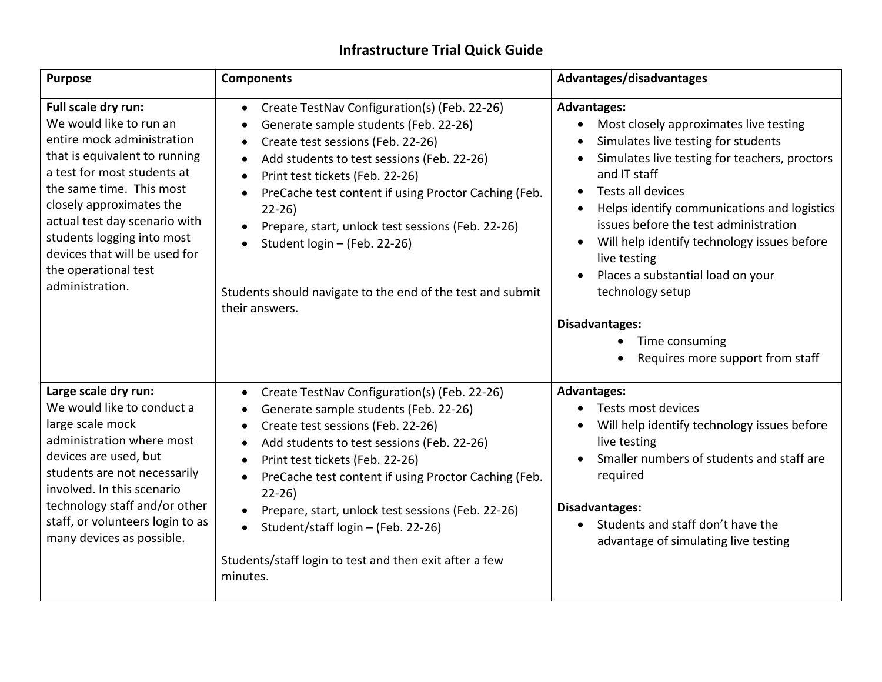## **Infrastructure Trial Quick Guide**

| <b>Purpose</b>                                                                                                                                                                                                                                                                                                                                  | <b>Components</b>                                                                                                                                                                                                                                                                                                                                                                                                                                                                                              | Advantages/disadvantages                                                                                                                                                                                                                                                                                                                                                                                                                                                                                                                           |
|-------------------------------------------------------------------------------------------------------------------------------------------------------------------------------------------------------------------------------------------------------------------------------------------------------------------------------------------------|----------------------------------------------------------------------------------------------------------------------------------------------------------------------------------------------------------------------------------------------------------------------------------------------------------------------------------------------------------------------------------------------------------------------------------------------------------------------------------------------------------------|----------------------------------------------------------------------------------------------------------------------------------------------------------------------------------------------------------------------------------------------------------------------------------------------------------------------------------------------------------------------------------------------------------------------------------------------------------------------------------------------------------------------------------------------------|
| Full scale dry run:<br>We would like to run an<br>entire mock administration<br>that is equivalent to running<br>a test for most students at<br>the same time. This most<br>closely approximates the<br>actual test day scenario with<br>students logging into most<br>devices that will be used for<br>the operational test<br>administration. | Create TestNav Configuration(s) (Feb. 22-26)<br>$\bullet$<br>Generate sample students (Feb. 22-26)<br>$\bullet$<br>Create test sessions (Feb. 22-26)<br>٠<br>Add students to test sessions (Feb. 22-26)<br>$\bullet$<br>Print test tickets (Feb. 22-26)<br>PreCache test content if using Proctor Caching (Feb.<br>$\bullet$<br>$22 - 26$<br>Prepare, start, unlock test sessions (Feb. 22-26)<br>Student login - (Feb. 22-26)<br>Students should navigate to the end of the test and submit<br>their answers. | <b>Advantages:</b><br>Most closely approximates live testing<br>$\bullet$<br>Simulates live testing for students<br>$\bullet$<br>Simulates live testing for teachers, proctors<br>$\bullet$<br>and IT staff<br>Tests all devices<br>$\bullet$<br>Helps identify communications and logistics<br>issues before the test administration<br>Will help identify technology issues before<br>$\bullet$<br>live testing<br>Places a substantial load on your<br>technology setup<br>Disadvantages:<br>Time consuming<br>Requires more support from staff |
| Large scale dry run:<br>We would like to conduct a<br>large scale mock<br>administration where most<br>devices are used, but<br>students are not necessarily<br>involved. In this scenario<br>technology staff and/or other<br>staff, or volunteers login to as<br>many devices as possible.                                                    | Create TestNav Configuration(s) (Feb. 22-26)<br>$\bullet$<br>Generate sample students (Feb. 22-26)<br>٠<br>Create test sessions (Feb. 22-26)<br>$\bullet$<br>Add students to test sessions (Feb. 22-26)<br>$\bullet$<br>Print test tickets (Feb. 22-26)<br>$\bullet$<br>PreCache test content if using Proctor Caching (Feb.<br>$22-26$<br>Prepare, start, unlock test sessions (Feb. 22-26)<br>Student/staff login - (Feb. 22-26)<br>Students/staff login to test and then exit after a few<br>minutes.       | <b>Advantages:</b><br>Tests most devices<br>$\bullet$<br>Will help identify technology issues before<br>live testing<br>Smaller numbers of students and staff are<br>$\bullet$<br>required<br>Disadvantages:<br>Students and staff don't have the<br>$\bullet$<br>advantage of simulating live testing                                                                                                                                                                                                                                             |